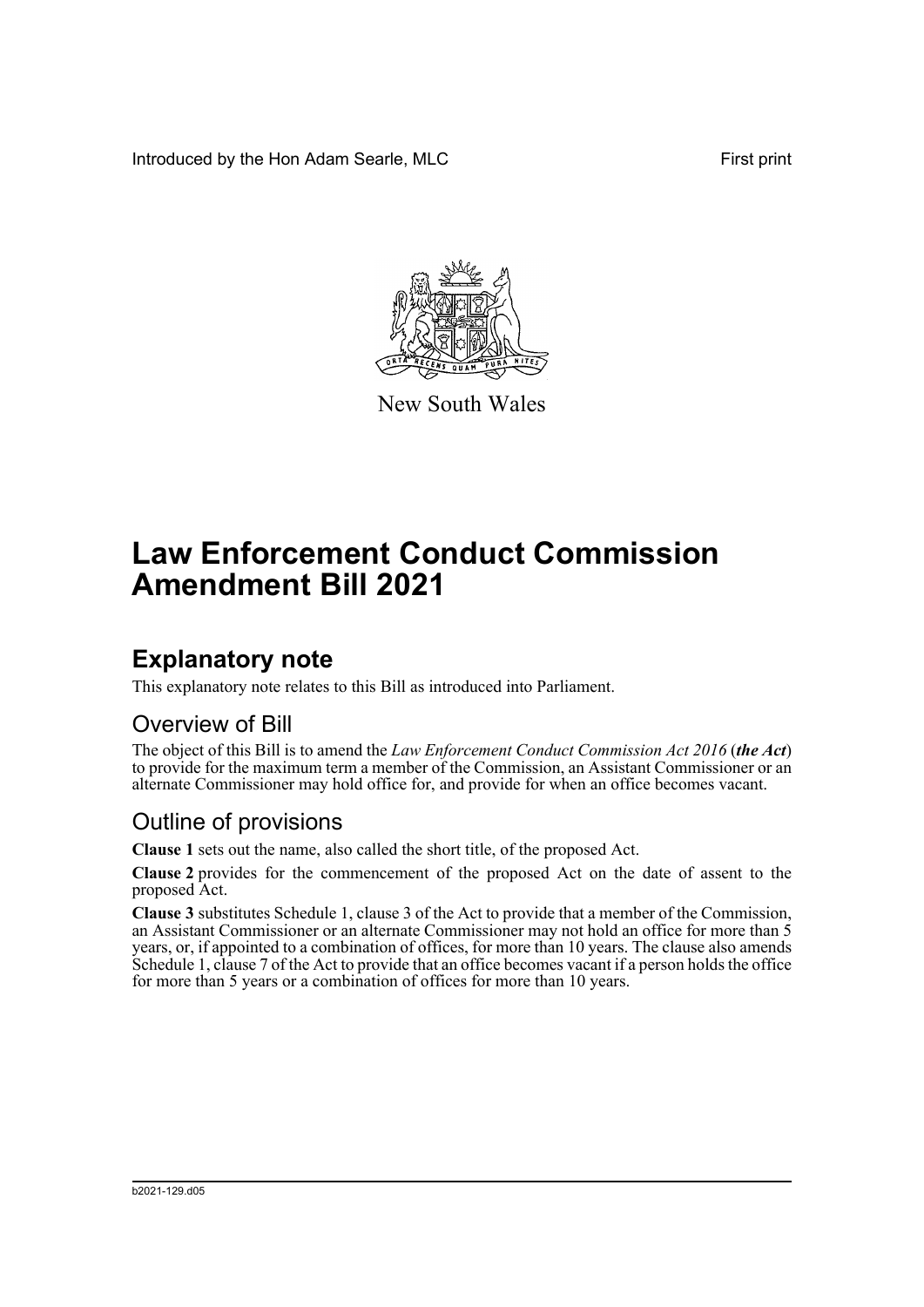Introduced by the Hon Adam Searle, MLC **First print** 



New South Wales

# **Law Enforcement Conduct Commission Amendment Bill 2021**

## **Explanatory note**

This explanatory note relates to this Bill as introduced into Parliament.

#### Overview of Bill

The object of this Bill is to amend the *Law Enforcement Conduct Commission Act 2016* (*the Act*) to provide for the maximum term a member of the Commission, an Assistant Commissioner or an alternate Commissioner may hold office for, and provide for when an office becomes vacant.

#### Outline of provisions

**Clause 1** sets out the name, also called the short title, of the proposed Act.

**Clause 2** provides for the commencement of the proposed Act on the date of assent to the proposed Act.

**Clause 3** substitutes Schedule 1, clause 3 of the Act to provide that a member of the Commission, an Assistant Commissioner or an alternate Commissioner may not hold an office for more than 5 years, or, if appointed to a combination of offices, for more than 10 years. The clause also amends Schedule 1, clause 7 of the Act to provide that an office becomes vacant if a person holds the office for more than 5 years or a combination of offices for more than 10 years.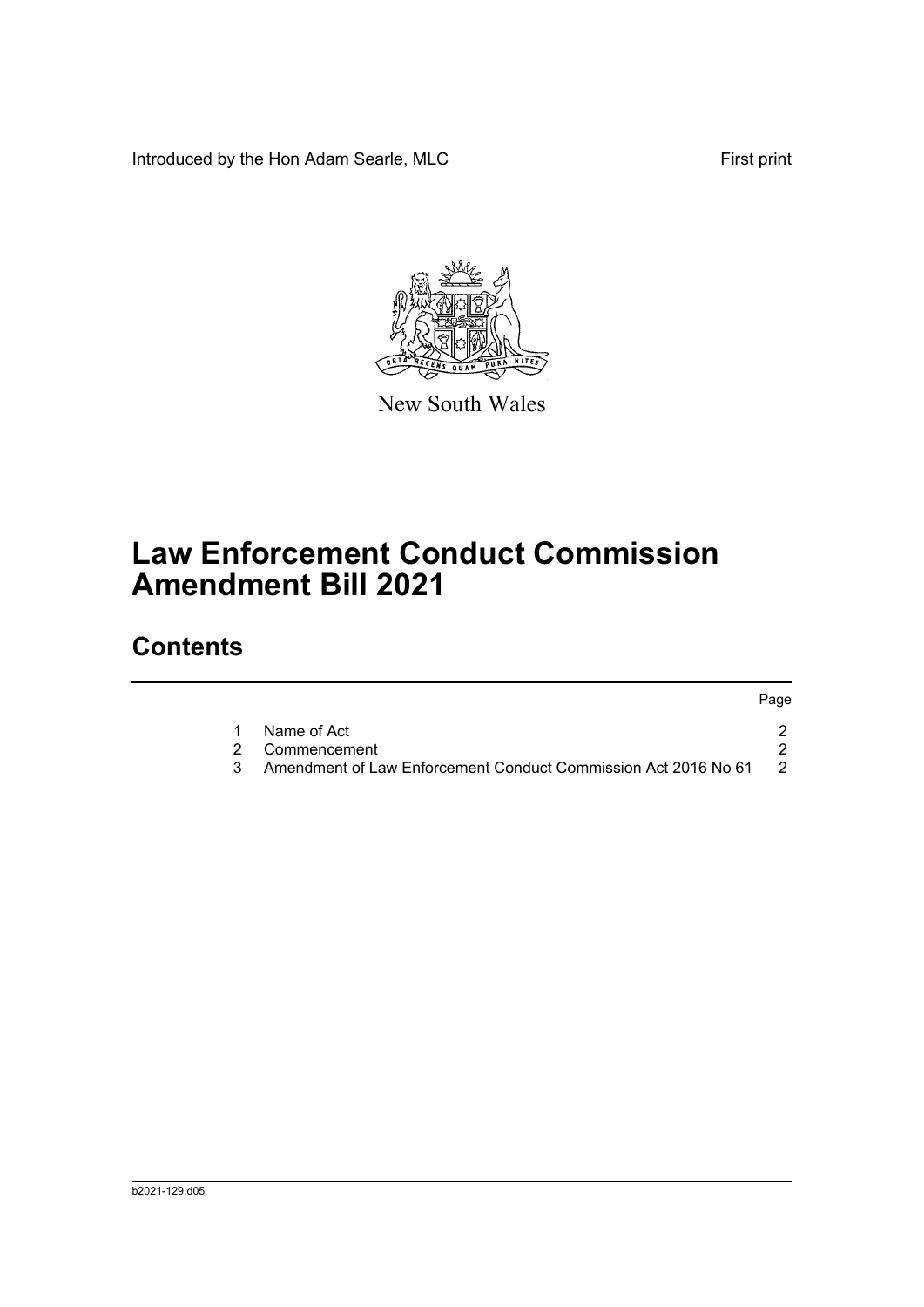Introduced by the Hon Adam Searle, MLC First print



New South Wales

# **Law Enforcement Conduct Commission Amendment Bill 2021**

## **Contents**

|                                                                | Page           |
|----------------------------------------------------------------|----------------|
| Name of Act                                                    |                |
| 2 Commencement                                                 |                |
| Amendment of Law Enforcement Conduct Commission Act 2016 No 61 | $\overline{2}$ |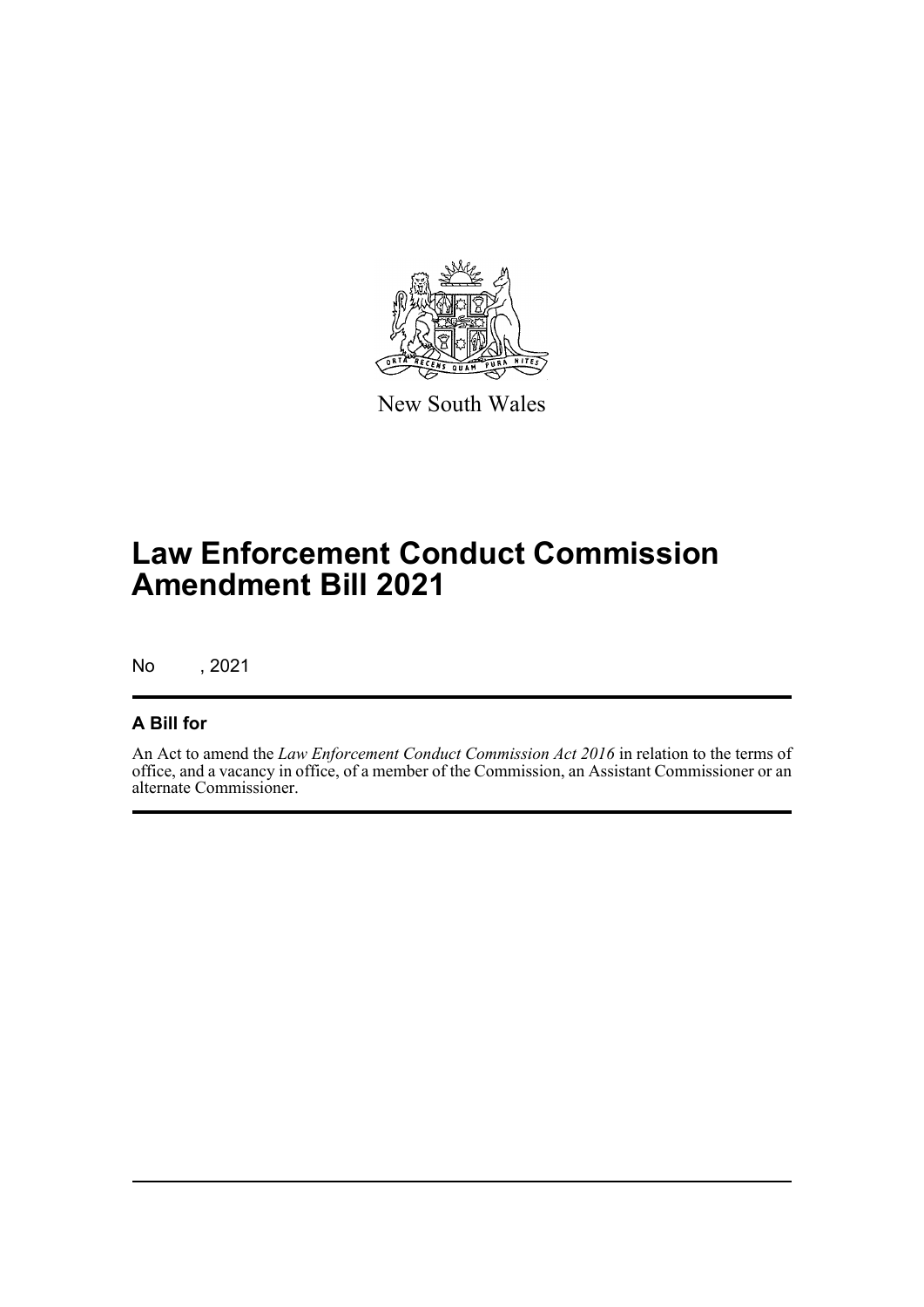

New South Wales

# **Law Enforcement Conduct Commission Amendment Bill 2021**

No , 2021

#### **A Bill for**

An Act to amend the *Law Enforcement Conduct Commission Act 2016* in relation to the terms of office, and a vacancy in office, of a member of the Commission, an Assistant Commissioner or an alternate Commissioner.